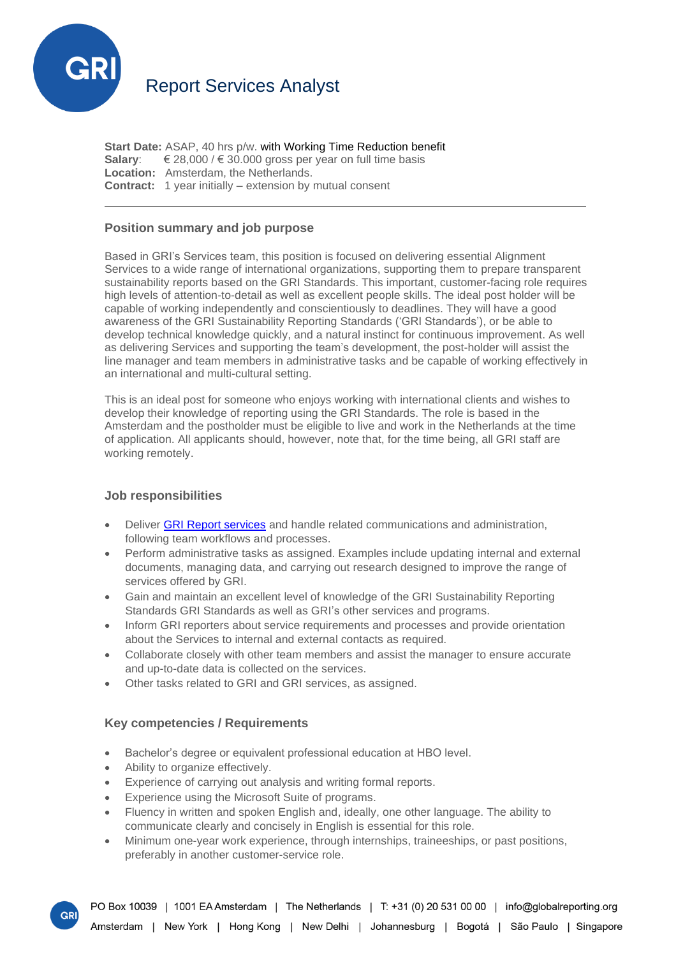

**Start Date:** ASAP, 40 hrs p/w. with Working Time Reduction benefit **Salary:**  $€ 28,000 / € 30.000$  gross per year on full time basis **Location:** Amsterdam, the Netherlands. **Contract:** 1 year initially – extension by mutual consent

# **Position summary and job purpose**

Based in GRI's Services team, this position is focused on delivering essential Alignment Services to a wide range of international organizations, supporting them to prepare transparent sustainability reports based on the GRI Standards. This important, customer-facing role requires high levels of attention-to-detail as well as excellent people skills. The ideal post holder will be capable of working independently and conscientiously to deadlines. They will have a good awareness of the GRI Sustainability Reporting Standards ('GRI Standards'), or be able to develop technical knowledge quickly, and a natural instinct for continuous improvement. As well as delivering Services and supporting the team's development, the post-holder will assist the line manager and team members in administrative tasks and be capable of working effectively in an international and multi-cultural setting.

This is an ideal post for someone who enjoys working with international clients and wishes to develop their knowledge of reporting using the GRI Standards. The role is based in the Amsterdam and the postholder must be eligible to live and work in the Netherlands at the time of application. All applicants should, however, note that, for the time being, all GRI staff are working remotely.

## **Job responsibilities**

- Deliver **[GRI Report services](https://www.globalreporting.org/reporting-support/services/)** and handle related communications and administration, following team workflows and processes.
- Perform administrative tasks as assigned. Examples include updating internal and external documents, managing data, and carrying out research designed to improve the range of services offered by GRI.
- Gain and maintain an excellent level of knowledge of the GRI Sustainability Reporting Standards GRI Standards as well as GRI's other services and programs.
- Inform GRI reporters about service requirements and processes and provide orientation about the Services to internal and external contacts as required.
- Collaborate closely with other team members and assist the manager to ensure accurate and up-to-date data is collected on the services.
- Other tasks related to GRI and GRI services, as assigned.

### **Key competencies / Requirements**

- Bachelor's degree or equivalent professional education at HBO level.
- Ability to organize effectively.
- Experience of carrying out analysis and writing formal reports.
- Experience using the Microsoft Suite of programs.
- Fluency in written and spoken English and, ideally, one other language. The ability to communicate clearly and concisely in English is essential for this role.
- Minimum one-year work experience, through internships, traineeships, or past positions, preferably in another customer-service role.